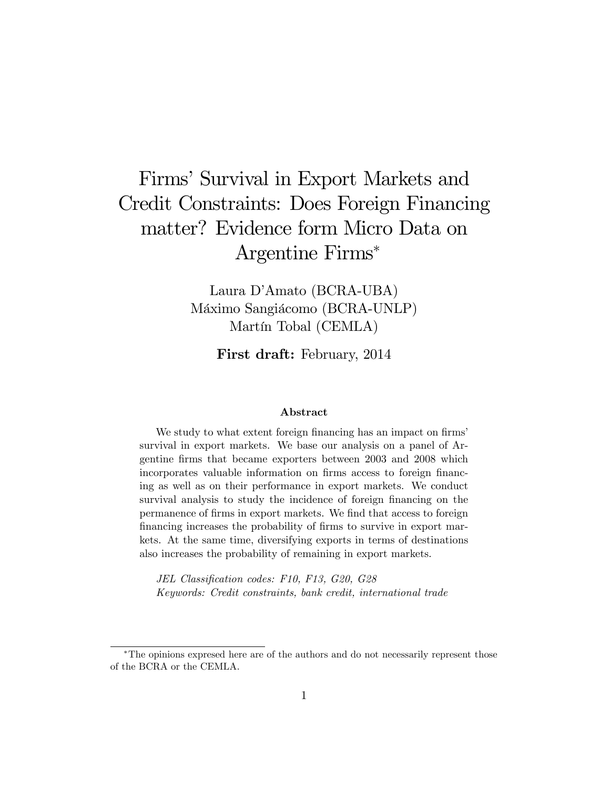# Firms' Survival in Export Markets and Credit Constraints: Does Foreign Financing matter? Evidence form Micro Data on Argentine Firms

Laura D'Amato (BCRA-UBA) Máximo Sangiácomo (BCRA-UNLP) Martín Tobal (CEMLA)

First draft: February, 2014

#### Abstract

We study to what extent foreign financing has an impact on firms' survival in export markets. We base our analysis on a panel of Argentine Örms that became exporters between 2003 and 2008 which incorporates valuable information on firms access to foreign financing as well as on their performance in export markets. We conduct survival analysis to study the incidence of foreign financing on the permanence of firms in export markets. We find that access to foreign financing increases the probability of firms to survive in export markets. At the same time, diversifying exports in terms of destinations also increases the probability of remaining in export markets.

JEL Classification codes: F10, F13, G20, G28 Keywords: Credit constraints, bank credit, international trade

The opinions expresed here are of the authors and do not necessarily represent those of the BCRA or the CEMLA.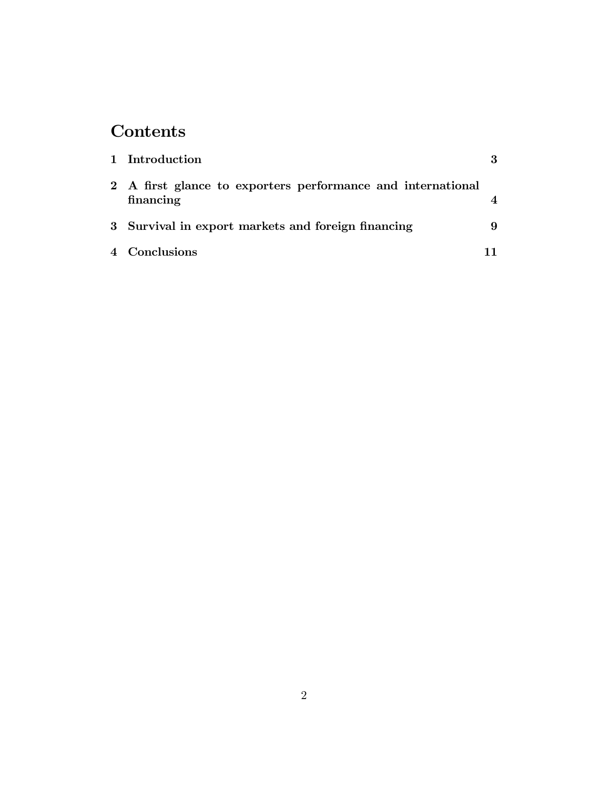# Contents

| 1 Introduction                                                           |  |
|--------------------------------------------------------------------------|--|
| 2 A first glance to exporters performance and international<br>financing |  |
| 3 Survival in export markets and foreign financing                       |  |
| 4 Conclusions                                                            |  |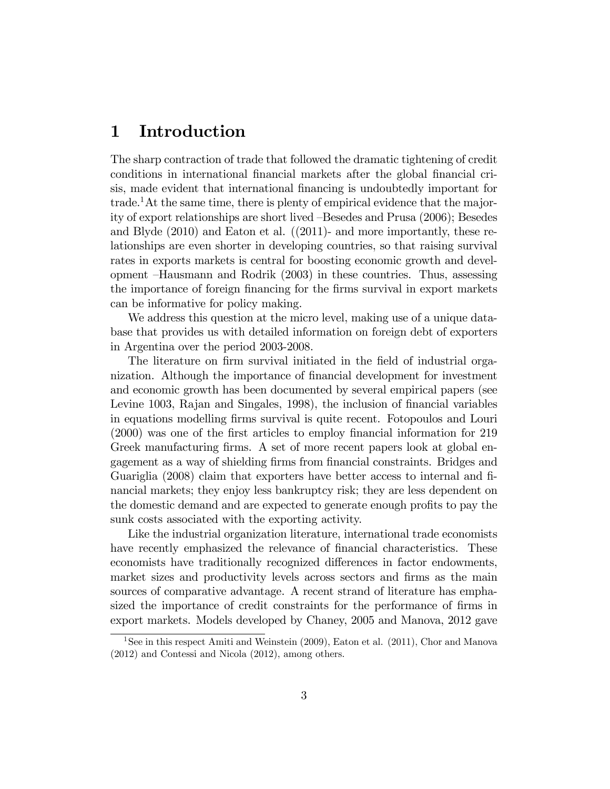#### 1 Introduction

The sharp contraction of trade that followed the dramatic tightening of credit conditions in international financial markets after the global financial crisis, made evident that international financing is undoubtedly important for trade.<sup>1</sup>At the same time, there is plenty of empirical evidence that the majority of export relationships are short lived  $-B$ esedes and Prusa  $(2006)$ ; Besedes and Blyde (2010) and Eaton et al. ((2011)- and more importantly, these relationships are even shorter in developing countries, so that raising survival rates in exports markets is central for boosting economic growth and development  $-Hausmann$  and Rodrik (2003) in these countries. Thus, assessing the importance of foreign financing for the firms survival in export markets can be informative for policy making.

We address this question at the micro level, making use of a unique database that provides us with detailed information on foreign debt of exporters in Argentina over the period 2003-2008.

The literature on firm survival initiated in the field of industrial organization. Although the importance of financial development for investment and economic growth has been documented by several empirical papers (see Levine 1003, Rajan and Singales, 1998), the inclusion of financial variables in equations modelling firms survival is quite recent. Fotopoulos and Louri (2000) was one of the Örst articles to employ Önancial information for 219 Greek manufacturing firms. A set of more recent papers look at global engagement as a way of shielding firms from financial constraints. Bridges and Guariglia (2008) claim that exporters have better access to internal and Önancial markets; they enjoy less bankruptcy risk; they are less dependent on the domestic demand and are expected to generate enough profits to pay the sunk costs associated with the exporting activity.

Like the industrial organization literature, international trade economists have recently emphasized the relevance of financial characteristics. These economists have traditionally recognized differences in factor endowments, market sizes and productivity levels across sectors and firms as the main sources of comparative advantage. A recent strand of literature has emphasized the importance of credit constraints for the performance of firms in export markets. Models developed by Chaney, 2005 and Manova, 2012 gave

<sup>&</sup>lt;sup>1</sup>See in this respect Amiti and Weinstein (2009), Eaton et al. (2011), Chor and Manova (2012) and Contessi and Nicola (2012), among others.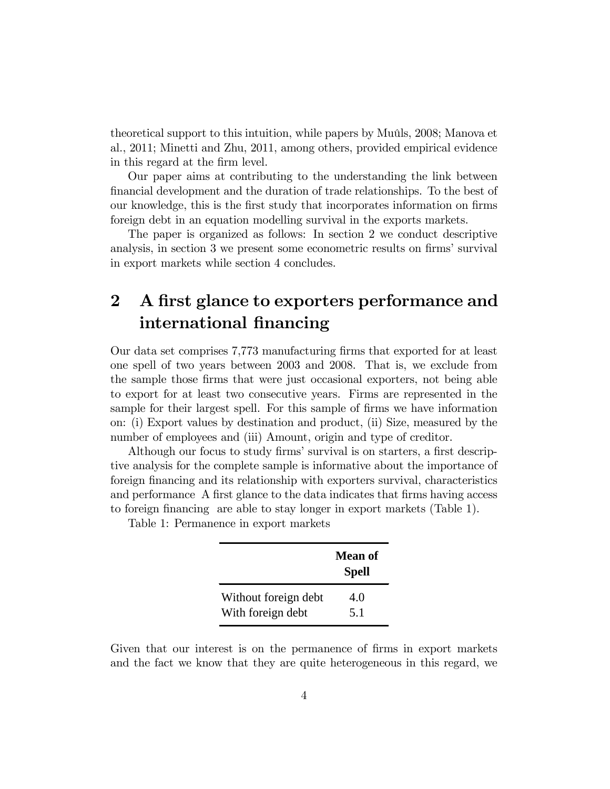theoretical support to this intuition, while papers by Muûls, 2008; Manova et al., 2011; Minetti and Zhu, 2011, among others, provided empirical evidence in this regard at the firm level.

Our paper aims at contributing to the understanding the link between Önancial development and the duration of trade relationships. To the best of our knowledge, this is the first study that incorporates information on firms foreign debt in an equation modelling survival in the exports markets.

The paper is organized as follows: In section 2 we conduct descriptive analysis, in section 3 we present some econometric results on firms' survival in export markets while section 4 concludes.

## 2 A first glance to exporters performance and international financing

Our data set comprises 7,773 manufacturing Örms that exported for at least one spell of two years between 2003 and 2008. That is, we exclude from the sample those firms that were just occasional exporters, not being able to export for at least two consecutive years. Firms are represented in the sample for their largest spell. For this sample of firms we have information on: (i) Export values by destination and product, (ii) Size, measured by the number of employees and (iii) Amount, origin and type of creditor.

Although our focus to study firms' survival is on starters, a first descriptive analysis for the complete sample is informative about the importance of foreign Önancing and its relationship with exporters survival, characteristics and performance A first glance to the data indicates that firms having access to foreign financing are able to stay longer in export markets (Table 1).

Table 1: Permanence in export markets

|                      | <b>Mean of</b><br><b>Spell</b> |
|----------------------|--------------------------------|
| Without foreign debt | 4.0                            |
| With foreign debt    | 5.1                            |

Given that our interest is on the permanence of firms in export markets and the fact we know that they are quite heterogeneous in this regard, we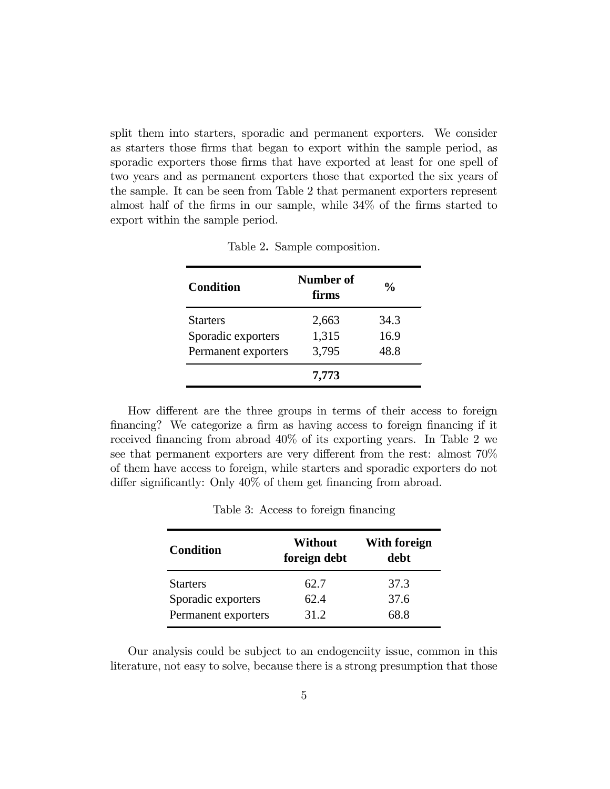split them into starters, sporadic and permanent exporters. We consider as starters those firms that began to export within the sample period, as sporadic exporters those firms that have exported at least for one spell of two years and as permanent exporters those that exported the six years of the sample. It can be seen from Table 2 that permanent exporters represent almost half of the firms in our sample, while  $34\%$  of the firms started to export within the sample period.

| Condition           | Number of<br>firms | $\frac{6}{10}$ |
|---------------------|--------------------|----------------|
| <b>Starters</b>     | 2,663              | 34.3           |
| Sporadic exporters  | 1,315              | 16.9           |
| Permanent exporters | 3,795              | 48.8           |
|                     | 7,773              |                |

Table 2. Sample composition.

How different are the three groups in terms of their access to foreign financing? We categorize a firm as having access to foreign financing if it received financing from abroad  $40\%$  of its exporting years. In Table 2 we see that permanent exporters are very different from the rest: almost  $70\%$ of them have access to foreign, while starters and sporadic exporters do not differ significantly: Only  $40\%$  of them get financing from abroad.

| <b>Condition</b>    | Without<br>foreign debt | <b>With foreign</b><br>debt |  |  |
|---------------------|-------------------------|-----------------------------|--|--|
| <b>Starters</b>     | 62.7                    | 37.3                        |  |  |
| Sporadic exporters  | 62.4                    | 37.6                        |  |  |
| Permanent exporters | 31.2                    | 68.8                        |  |  |

Table 3: Access to foreign financing

Our analysis could be subject to an endogeneiity issue, common in this literature, not easy to solve, because there is a strong presumption that those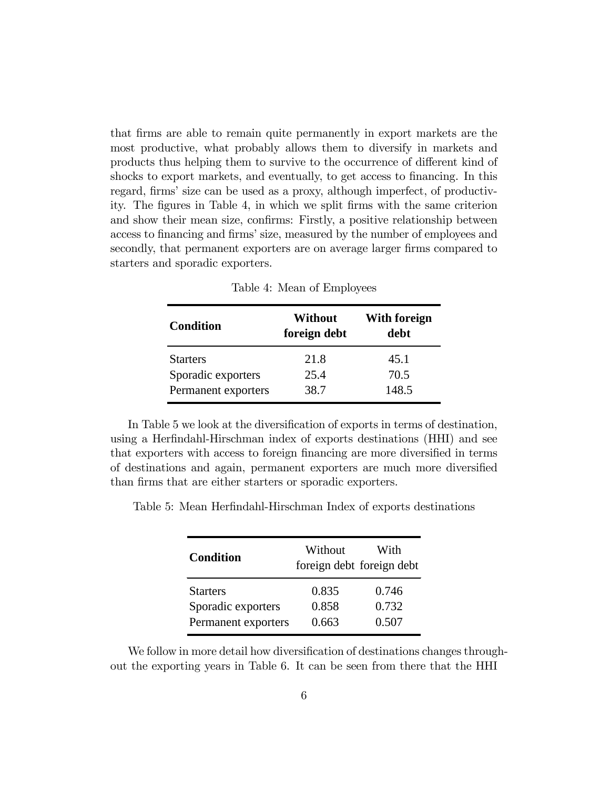that Örms are able to remain quite permanently in export markets are the most productive, what probably allows them to diversify in markets and products thus helping them to survive to the occurrence of different kind of shocks to export markets, and eventually, to get access to financing. In this regard, firms' size can be used as a proxy, although imperfect, of productivity. The Ögures in Table 4, in which we split Örms with the same criterion and show their mean size, confirms: Firstly, a positive relationship between access to financing and firms' size, measured by the number of employees and secondly, that permanent exporters are on average larger firms compared to starters and sporadic exporters.

| <b>Condition</b>    | Without<br>foreign debt | <b>With foreign</b><br>debt |
|---------------------|-------------------------|-----------------------------|
| <b>Starters</b>     | 21.8                    | 45.1                        |
| Sporadic exporters  | 25.4                    | 70.5                        |
| Permanent exporters | 38.7                    | 148.5                       |

Table 4: Mean of Employees

In Table 5 we look at the diversification of exports in terms of destination, using a Herfindahl-Hirschman index of exports destinations (HHI) and see that exporters with access to foreign financing are more diversified in terms of destinations and again, permanent exporters are much more diversified than firms that are either starters or sporadic exporters.

| Table 5: Mean Herfindahl-Hirschman Index of exports destinations |  |  |  |
|------------------------------------------------------------------|--|--|--|
|------------------------------------------------------------------|--|--|--|

| <b>Condition</b>                      | Without        | With<br>foreign debt foreign debt |
|---------------------------------------|----------------|-----------------------------------|
| <b>Starters</b><br>Sporadic exporters | 0.835<br>0.858 | 0.746<br>0.732                    |
| Permanent exporters                   | 0.663          | 0.507                             |

We follow in more detail how diversification of destinations changes throughout the exporting years in Table 6. It can be seen from there that the HHI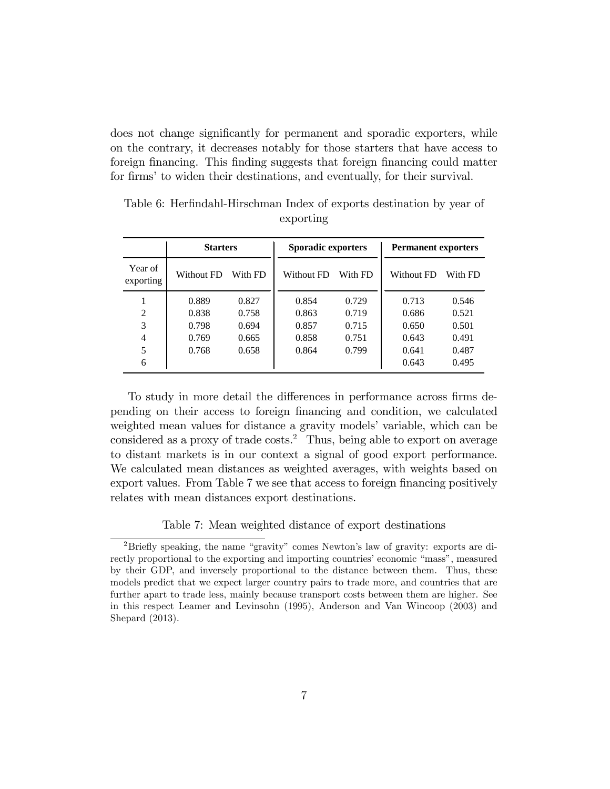does not change significantly for permanent and sporadic exporters, while on the contrary, it decreases notably for those starters that have access to foreign financing. This finding suggests that foreign financing could matter for firms' to widen their destinations, and eventually, for their survival.

|                      | <b>Starters</b> |         | <b>Sporadic exporters</b> |         | <b>Permanent exporters</b> |         |  |
|----------------------|-----------------|---------|---------------------------|---------|----------------------------|---------|--|
| Year of<br>exporting | Without FD      | With FD | Without FD                | With FD | Without FD                 | With FD |  |
|                      | 0.889           | 0.827   | 0.854                     | 0.729   | 0.713                      | 0.546   |  |
| $\overline{2}$       | 0.838           | 0.758   | 0.863                     | 0.719   | 0.686                      | 0.521   |  |
| 3                    | 0.798           | 0.694   | 0.857                     | 0.715   | 0.650                      | 0.501   |  |
| $\overline{4}$       | 0.769           | 0.665   | 0.858                     | 0.751   | 0.643                      | 0.491   |  |
| 5                    | 0.768           | 0.658   | 0.864                     | 0.799   | 0.641                      | 0.487   |  |
| 6                    |                 |         |                           |         | 0.643                      | 0.495   |  |

Table 6: Herfindahl-Hirschman Index of exports destination by year of exporting

To study in more detail the differences in performance across firms depending on their access to foreign Önancing and condition, we calculated weighted mean values for distance a gravity models' variable, which can be considered as a proxy of trade costs.<sup>2</sup> Thus, being able to export on average to distant markets is in our context a signal of good export performance. We calculated mean distances as weighted averages, with weights based on export values. From Table 7 we see that access to foreign financing positively relates with mean distances export destinations.

Table 7: Mean weighted distance of export destinations

<sup>&</sup>lt;sup>2</sup>Briefly speaking, the name "gravity" comes Newton's law of gravity: exports are directly proportional to the exporting and importing countries' economic "mass", measured by their GDP, and inversely proportional to the distance between them. Thus, these models predict that we expect larger country pairs to trade more, and countries that are further apart to trade less, mainly because transport costs between them are higher. See in this respect Leamer and Levinsohn (1995), Anderson and Van Wincoop (2003) and Shepard (2013).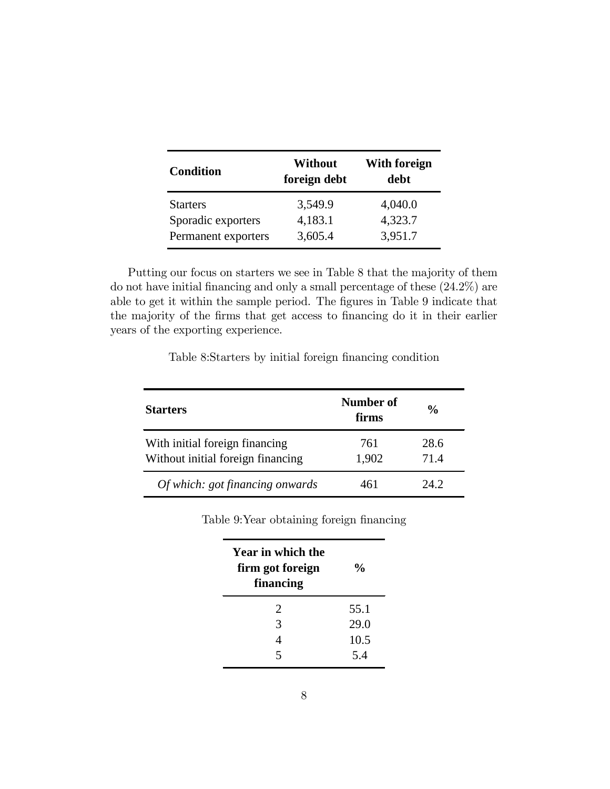| <b>Condition</b>    | <b>Without</b><br>foreign debt | With foreign<br>debt |
|---------------------|--------------------------------|----------------------|
| <b>Starters</b>     | 3,549.9                        | 4,040.0              |
| Sporadic exporters  | 4,183.1                        | 4,323.7              |
| Permanent exporters | 3,605.4                        | 3,951.7              |

Putting our focus on starters we see in Table 8 that the majority of them do not have initial financing and only a small percentage of these  $(24.2\%)$  are able to get it within the sample period. The figures in Table 9 indicate that the majority of the firms that get access to financing do it in their earlier years of the exporting experience.

Table 8:Starters by initial foreign financing condition

| <b>Starters</b>                                                     | Number of<br>firms | $\frac{6}{9}$ |
|---------------------------------------------------------------------|--------------------|---------------|
| With initial foreign financing<br>Without initial foreign financing | 761<br>1,902       | 28.6<br>71.4  |
| Of which: got financing onwards                                     | 461                | 24.2          |

Table 9: Year obtaining foreign financing

| Year in which the<br>firm got foreign<br>financing | $\frac{6}{9}$ |
|----------------------------------------------------|---------------|
| 2                                                  | 55.1          |
| 3                                                  | 29.0          |
|                                                    | 10.5          |
| ς                                                  | 54            |
|                                                    |               |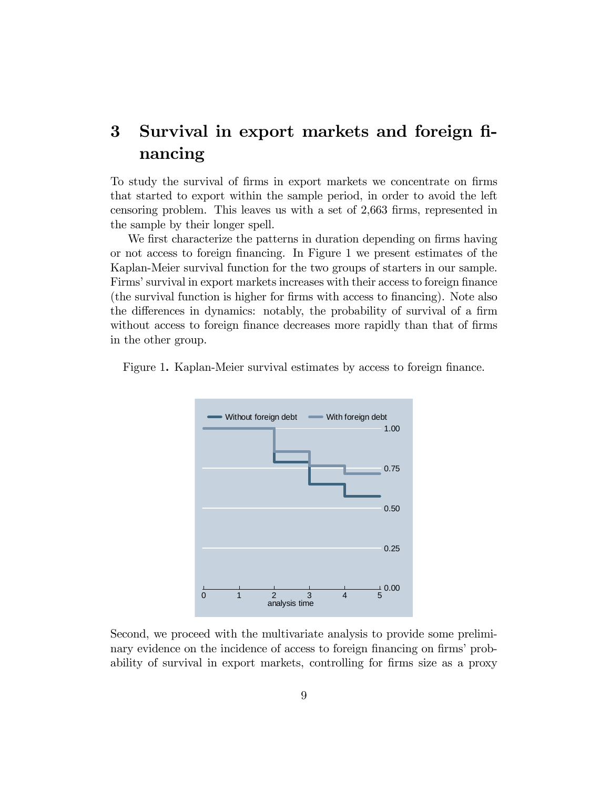## 3 Survival in export markets and foreign financing

To study the survival of Örms in export markets we concentrate on Örms that started to export within the sample period, in order to avoid the left censoring problem. This leaves us with a set of 2,663 firms, represented in the sample by their longer spell.

We first characterize the patterns in duration depending on firms having or not access to foreign Önancing. In Figure 1 we present estimates of the Kaplan-Meier survival function for the two groups of starters in our sample. Firms' survival in export markets increases with their access to foreign finance (the survival function is higher for Örms with access to Önancing). Note also the differences in dynamics: notably, the probability of survival of a firm without access to foreign finance decreases more rapidly than that of firms in the other group.





Second, we proceed with the multivariate analysis to provide some preliminary evidence on the incidence of access to foreign financing on firms' probability of survival in export markets, controlling for firms size as a proxy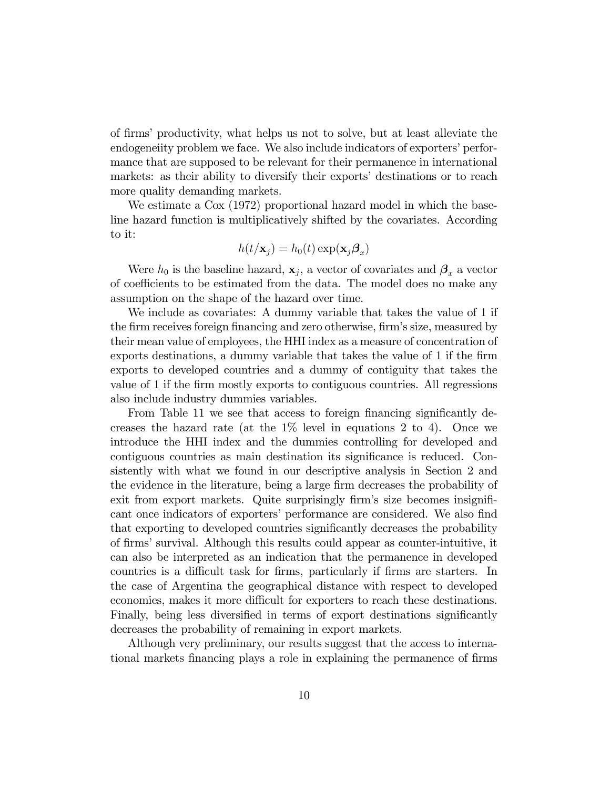of firms' productivity, what helps us not to solve, but at least alleviate the endogeneiity problem we face. We also include indicators of exporters' performance that are supposed to be relevant for their permanence in international markets: as their ability to diversify their exports' destinations or to reach more quality demanding markets.

We estimate a Cox  $(1972)$  proportional hazard model in which the baseline hazard function is multiplicatively shifted by the covariates. According to it:

$$
h(t/\mathbf{x}_j) = h_0(t) \exp(\mathbf{x}_j \boldsymbol{\beta}_x)
$$

Were  $h_0$  is the baseline hazard,  $\mathbf{x}_j$ , a vector of covariates and  $\boldsymbol{\beta}_x$  a vector of coefficients to be estimated from the data. The model does no make any assumption on the shape of the hazard over time.

We include as covariates: A dummy variable that takes the value of 1 if the firm receives foreign financing and zero otherwise, firm's size, measured by their mean value of employees, the HHI index as a measure of concentration of exports destinations, a dummy variable that takes the value of 1 if the firm exports to developed countries and a dummy of contiguity that takes the value of 1 if the Örm mostly exports to contiguous countries. All regressions also include industry dummies variables.

From Table 11 we see that access to foreign financing significantly decreases the hazard rate (at the  $1\%$  level in equations 2 to 4). Once we introduce the HHI index and the dummies controlling for developed and contiguous countries as main destination its significance is reduced. Consistently with what we found in our descriptive analysis in Section 2 and the evidence in the literature, being a large firm decreases the probability of exit from export markets. Quite surprisingly firm's size becomes insignificant once indicators of exporters' performance are considered. We also find that exporting to developed countries significantly decreases the probability of Örmsísurvival. Although this results could appear as counter-intuitive, it can also be interpreted as an indication that the permanence in developed countries is a difficult task for firms, particularly if firms are starters. In the case of Argentina the geographical distance with respect to developed economies, makes it more difficult for exporters to reach these destinations. Finally, being less diversified in terms of export destinations significantly decreases the probability of remaining in export markets.

Although very preliminary, our results suggest that the access to international markets financing plays a role in explaining the permanence of firms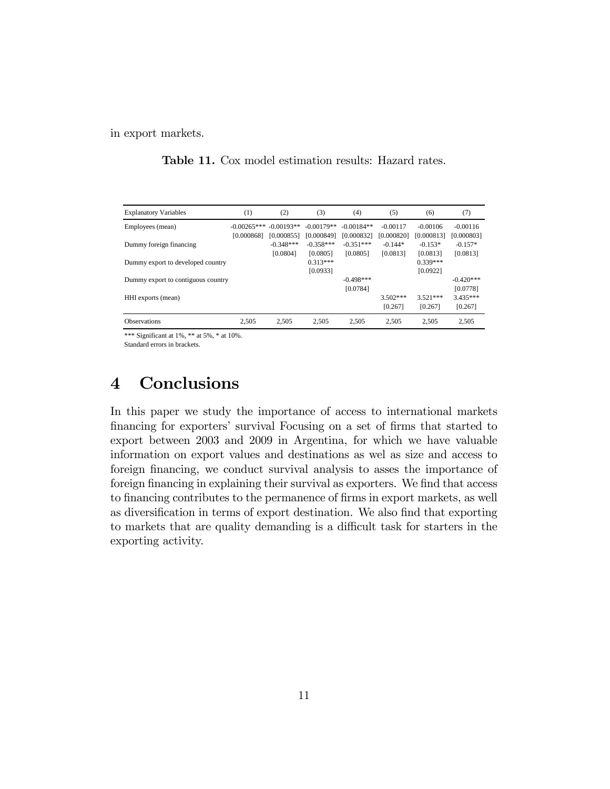in export markets.

| <b>Explanatory Variables</b>       | (1)           | (2)          | (3)          | (4)          | (5)        | (6)        | (7)         |
|------------------------------------|---------------|--------------|--------------|--------------|------------|------------|-------------|
| Employees (mean)                   | $-0.00265***$ | $-0.00193**$ | $-0.00179**$ | $-0.00184**$ | $-0.00117$ | $-0.00106$ | $-0.00116$  |
|                                    | [0.000868]    | [0.000855]   | [0.000849]   | [0.000832]   | [0.000820] | [0.000813] | [0.000803]  |
| Dummy foreign financing            |               | $-0.348***$  | $-0.358***$  | $-0.351***$  | $-0.144*$  | $-0.153*$  | $-0.157*$   |
|                                    |               | [0.0804]     | [0.0805]     | [0.0805]     | [0.0813]   | [0.0813]   | [0.0813]    |
| Dummy export to developed country  |               |              | $0.313***$   |              |            | $0.339***$ |             |
|                                    |               |              | [0.0933]     |              |            | [0.0922]   |             |
| Dummy export to contiguous country |               |              |              | $-0.498***$  |            |            | $-0.420***$ |
|                                    |               |              |              | [0.0784]     |            |            | [0.0778]    |
| HHI exports (mean)                 |               |              |              |              | $3.502***$ | $3.521***$ | $3.435***$  |
|                                    |               |              |              |              | [0.267]    | [0.267]    | [0.267]     |
| <b>Observations</b>                | 2,505         | 2,505        | 2,505        | 2,505        | 2,505      | 2,505      | 2,505       |

**Table 11.** Cox model estimation results: Hazard rates.

\*\*\* Significant at 1%, \*\* at 5%, \* at 10%.

Standard errors in brackets.

#### Conclusions  $\overline{\mathbf{4}}$

In this paper we study the importance of access to international markets financing for exporters' survival Focusing on a set of firms that started to export between 2003 and 2009 in Argentina, for which we have valuable information on export values and destinations as wel as size and access to foreign financing, we conduct survival analysis to asses the importance of foreign financing in explaining their survival as exporters. We find that access to financing contributes to the permanence of firms in export markets, as well as diversification in terms of export destination. We also find that exporting to markets that are quality demanding is a difficult task for starters in the exporting activity.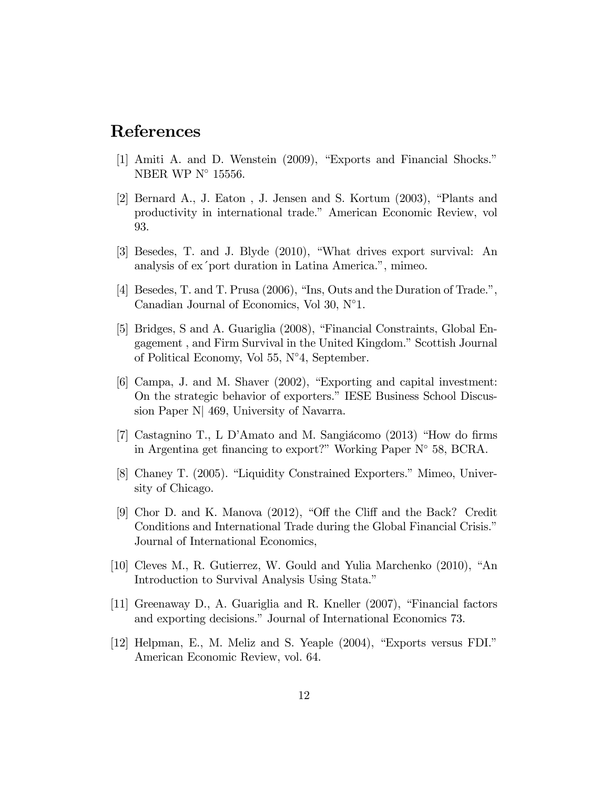### References

- [1] Amiti A. and D. Wenstein (2009), "Exports and Financial Shocks." NBER WP  $N^{\circ}$  15556.
- [2] Bernard A., J. Eaton, J. Jensen and S. Kortum (2003), "Plants and productivity in international trade." American Economic Review, vol 93.
- [3] Besedes, T. and J. Blyde (2010), "What drives export survival: An analysis of ex'port duration in Latina America.", mimeo.
- [4] Besedes, T. and T. Prusa (2006), "Ins. Outs and the Duration of Trade.", Canadian Journal of Economics, Vol 30,  $N^{\circ}1$ .
- [5] Bridges, S and A. Guariglia (2008), "Financial Constraints, Global Engagement, and Firm Survival in the United Kingdom." Scottish Journal of Political Economy, Vol 55,  $N^{\circ}4$ , September.
- [6] Campa, J. and M. Shaver (2002), "Exporting and capital investment: On the strategic behavior of exporters." IESE Business School Discussion Paper N 469, University of Navarra.
- [7] Castagnino T., L D'Amato and M. Sangiácomo (2013) "How do firms in Argentina get financing to export?" Working Paper  $N^{\circ}$  58, BCRA.
- [8] Chaney T. (2005). "Liquidity Constrained Exporters." Mimeo, University of Chicago.
- [9] Chor D. and K. Manova (2012), "Off the Cliff and the Back? Credit Conditions and International Trade during the Global Financial Crisis." Journal of International Economics,
- [10] Cleves M., R. Gutierrez, W. Gould and Yulia Marchenko (2010), "An Introduction to Survival Analysis Using Stata."
- [11] Greenaway D., A. Guariglia and R. Kneller (2007), "Financial factors" and exporting decisions." Journal of International Economics 73.
- [12] Helpman, E., M. Meliz and S. Yeaple (2004), "Exports versus FDI." American Economic Review, vol. 64.